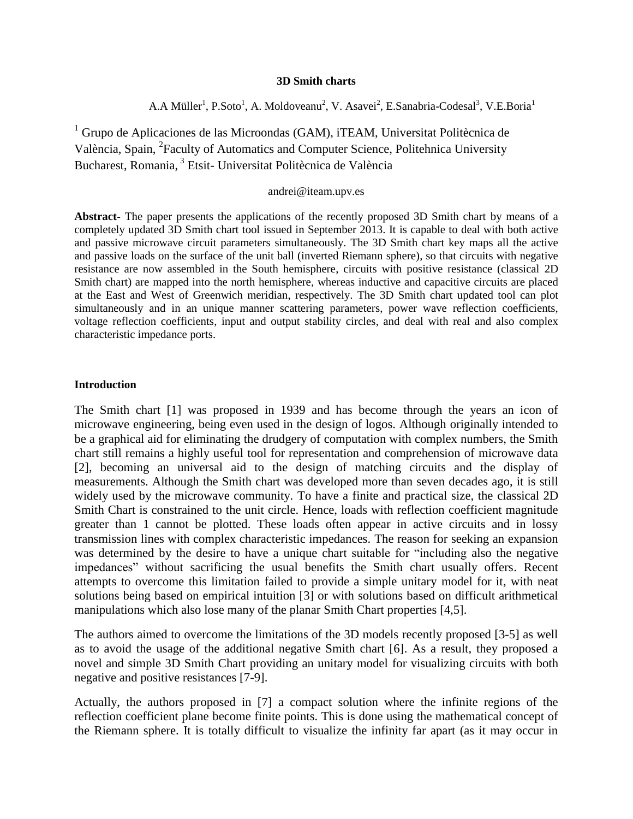#### **3D Smith charts**

A.A Müller<sup>1</sup>, P.Soto<sup>1</sup>, A. Moldoveanu<sup>2</sup>, V. Asavei<sup>2</sup>, E.Sanabria-Codesal<sup>3</sup>, V.E.Boria<sup>1</sup>

 $1$  Grupo de Aplicaciones de las Microondas (GAM), iTEAM, Universitat Politècnica de València, Spain, <sup>2</sup>Faculty of Automatics and Computer Science, Politehnica University Bucharest, Romania, 3 Etsit- Universitat Politècnica de València

#### andrei@iteam.upv.es

**Abstract-** The paper presents the applications of the recently proposed 3D Smith chart by means of a completely updated 3D Smith chart tool issued in September 2013. It is capable to deal with both active and passive microwave circuit parameters simultaneously. The 3D Smith chart key maps all the active and passive loads on the surface of the unit ball (inverted Riemann sphere), so that circuits with negative resistance are now assembled in the South hemisphere, circuits with positive resistance (classical 2D Smith chart) are mapped into the north hemisphere, whereas inductive and capacitive circuits are placed at the East and West of Greenwich meridian, respectively. The 3D Smith chart updated tool can plot simultaneously and in an unique manner scattering parameters, power wave reflection coefficients, voltage reflection coefficients, input and output stability circles, and deal with real and also complex characteristic impedance ports.

### **Introduction**

The Smith chart [1] was proposed in 1939 and has become through the years an icon of microwave engineering, being even used in the design of logos. Although originally intended to be a graphical aid for eliminating the drudgery of computation with complex numbers, the Smith chart still remains a highly useful tool for representation and comprehension of microwave data [2], becoming an universal aid to the design of matching circuits and the display of measurements. Although the Smith chart was developed more than seven decades ago, it is still widely used by the microwave community. To have a finite and practical size, the classical 2D Smith Chart is constrained to the unit circle. Hence, loads with reflection coefficient magnitude greater than 1 cannot be plotted. These loads often appear in active circuits and in lossy transmission lines with complex characteristic impedances. The reason for seeking an expansion was determined by the desire to have a unique chart suitable for "including also the negative impedances" without sacrificing the usual benefits the Smith chart usually offers. Recent attempts to overcome this limitation failed to provide a simple unitary model for it, with neat solutions being based on empirical intuition [3] or with solutions based on difficult arithmetical manipulations which also lose many of the planar Smith Chart properties [4,5].

The authors aimed to overcome the limitations of the 3D models recently proposed [3-5] as well as to avoid the usage of the additional negative Smith chart [6]. As a result, they proposed a novel and simple 3D Smith Chart providing an unitary model for visualizing circuits with both negative and positive resistances [7-9].

Actually, the authors proposed in [7] a compact solution where the infinite regions of the reflection coefficient plane become finite points. This is done using the mathematical concept of the Riemann sphere. It is totally difficult to visualize the infinity far apart (as it may occur in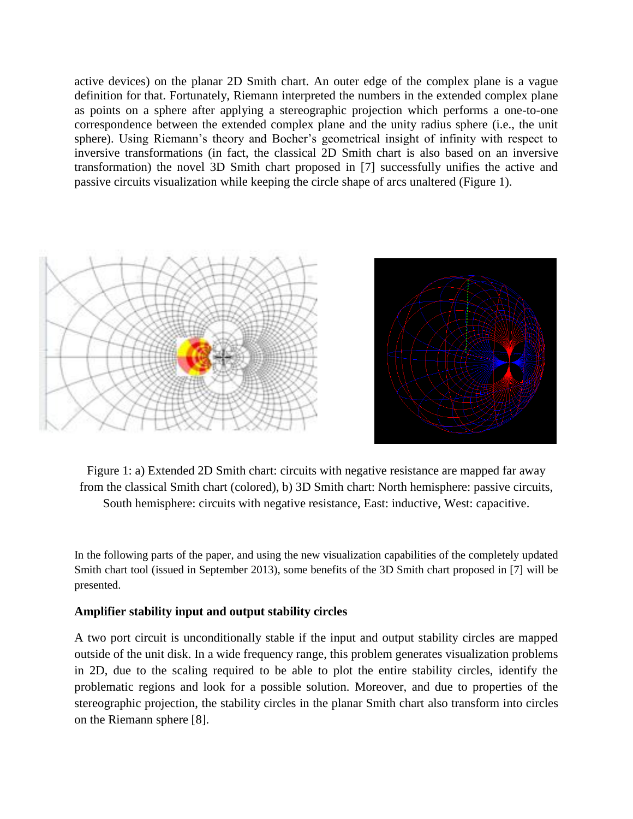active devices) on the planar 2D Smith chart. An outer edge of the complex plane is a vague definition for that. Fortunately, Riemann interpreted the numbers in the extended complex plane as points on a sphere after applying a stereographic projection which performs a one-to-one correspondence between the extended complex plane and the unity radius sphere (i.e., the unit sphere). Using Riemann's theory and Bocher's geometrical insight of infinity with respect to inversive transformations (in fact, the classical 2D Smith chart is also based on an inversive transformation) the novel 3D Smith chart proposed in [7] successfully unifies the active and passive circuits visualization while keeping the circle shape of arcs unaltered (Figure 1).



Figure 1: a) Extended 2D Smith chart: circuits with negative resistance are mapped far away from the classical Smith chart (colored), b) 3D Smith chart: North hemisphere: passive circuits, South hemisphere: circuits with negative resistance, East: inductive, West: capacitive.

In the following parts of the paper, and using the new visualization capabilities of the completely updated Smith chart tool (issued in September 2013), some benefits of the 3D Smith chart proposed in [7] will be presented.

## **Amplifier stability input and output stability circles**

A two port circuit is unconditionally stable if the input and output stability circles are mapped outside of the unit disk. In a wide frequency range, this problem generates visualization problems in 2D, due to the scaling required to be able to plot the entire stability circles, identify the problematic regions and look for a possible solution. Moreover, and due to properties of the stereographic projection, the stability circles in the planar Smith chart also transform into circles on the Riemann sphere [8].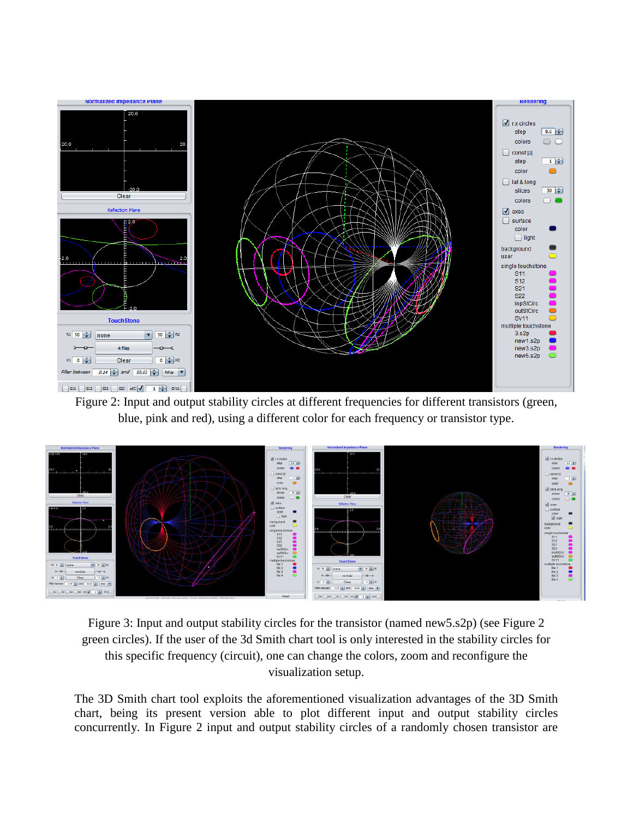

Figure 2: Input and output stability circles at different frequencies for different transistors (green, blue, pink and red), using a different color for each frequency or transistor type.



Figure 3: Input and output stability circles for the transistor (named new5.s2p) (see Figure 2 green circles). If the user of the 3d Smith chart tool is only interested in the stability circles for this specific frequency (circuit), one can change the colors, zoom and reconfigure the visualization setup.

The 3D Smith chart tool exploits the aforementioned visualization advantages of the 3D Smith chart, being its present version able to plot different input and output stability circles concurrently. In Figure 2 input and output stability circles of a randomly chosen transistor are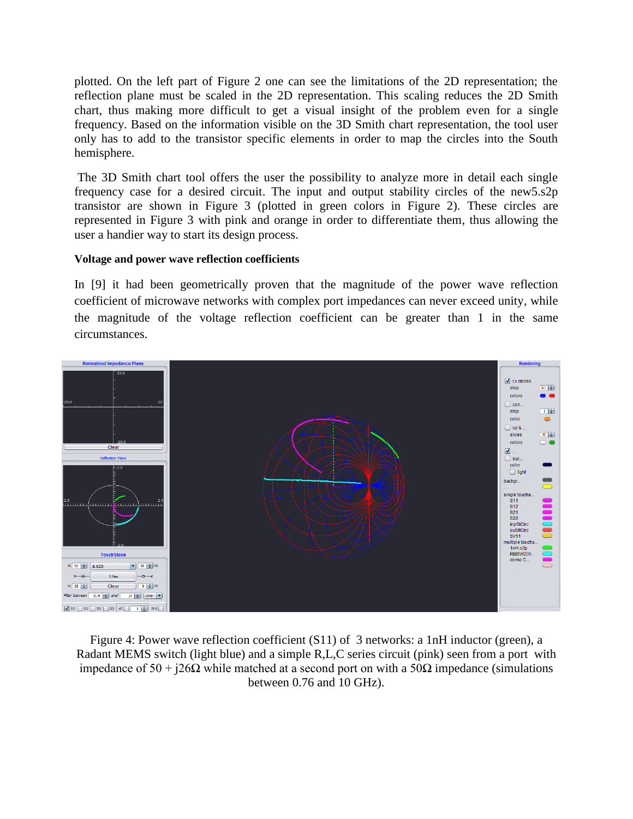plotted. On the left part of Figure 2 one can see the limitations of the 2D representation; the reflection plane must be scaled in the 2D representation. This scaling reduces the 2D Smith chart, thus making more difficult to get a visual insight of the problem even for a single frequency. Based on the information visible on the 3D Smith chart representation, the tool user only has to add to the transistor specific elements in order to map the circles into the South hemisphere.

The 3D Smith chart tool offers the user the possibility to analyze more in detail each single frequency case for a desired circuit. The input and output stability circles of the new5.s2p transistor are shown in Figure 3 (plotted in green colors in Figure 2). These circles are represented in Figure 3 with pink and orange in order to differentiate them, thus allowing the user a handier way to start its design process.

# **Voltage and power wave reflection coefficients**

In [9] it had been geometrically proven that the magnitude of the power wave reflection coefficient of microwave networks with complex port impedances can never exceed unity, while the magnitude of the voltage reflection coefficient can be greater than 1 in the same circumstances.



Figure 4: Power wave reflection coefficient (S11) of 3 networks: a 1nH inductor (green), a Radant MEMS switch (light blue) and a simple R,L,C series circuit (pink) seen from a port with impedance of  $50 + i26Ω$  while matched at a second port on with a  $50Ω$  impedance (simulations between 0.76 and 10 GHz).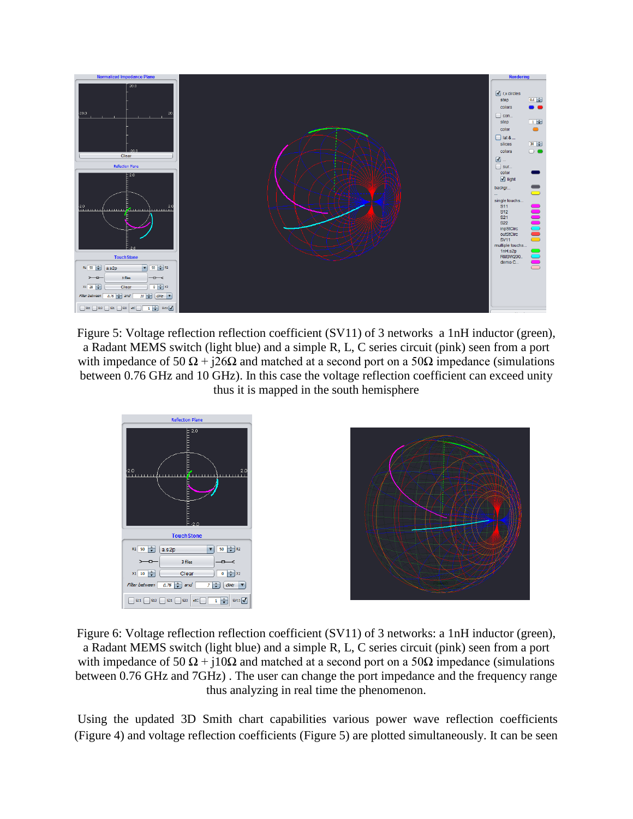

Figure 5: Voltage reflection reflection coefficient (SV11) of 3 networks a 1nH inductor (green), a Radant MEMS switch (light blue) and a simple R, L, C series circuit (pink) seen from a port with impedance of 50  $\Omega$  + j26 $\Omega$  and matched at a second port on a 50 $\Omega$  impedance (simulations between 0.76 GHz and 10 GHz). In this case the voltage reflection coefficient can exceed unity thus it is mapped in the south hemisphere



Figure 6: Voltage reflection reflection coefficient (SV11) of 3 networks: a 1nH inductor (green), a Radant MEMS switch (light blue) and a simple R, L, C series circuit (pink) seen from a port with impedance of  $50 \Omega + i10 \Omega$  and matched at a second port on a  $50 \Omega$  impedance (simulations between 0.76 GHz and 7GHz) . The user can change the port impedance and the frequency range thus analyzing in real time the phenomenon.

Using the updated 3D Smith chart capabilities various power wave reflection coefficients (Figure 4) and voltage reflection coefficients (Figure 5) are plotted simultaneously. It can be seen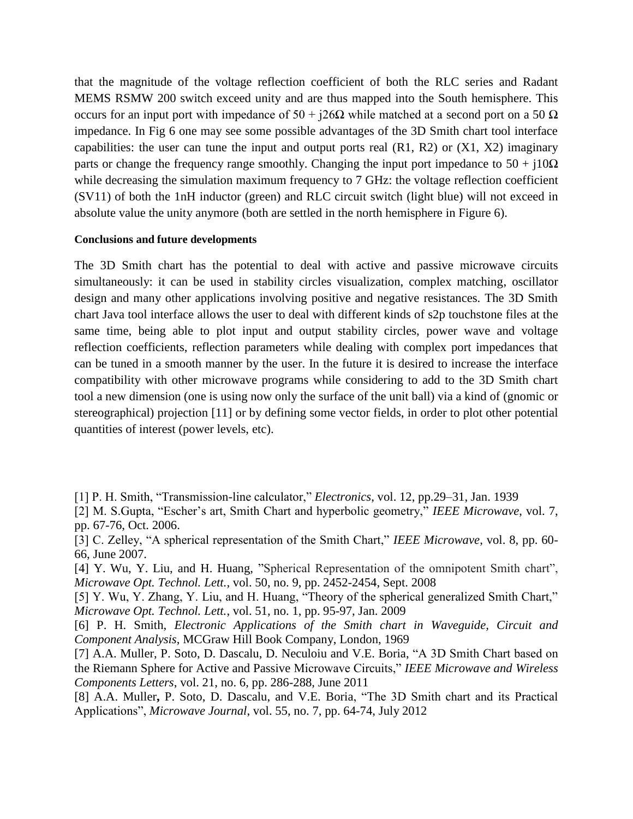that the magnitude of the voltage reflection coefficient of both the RLC series and Radant MEMS RSMW 200 switch exceed unity and are thus mapped into the South hemisphere. This occurs for an input port with impedance of  $50 + i26Ω$  while matched at a second port on a 50  $Ω$ impedance. In Fig 6 one may see some possible advantages of the 3D Smith chart tool interface capabilities: the user can tune the input and output ports real  $(R1, R2)$  or  $(X1, X2)$  imaginary parts or change the frequency range smoothly. Changing the input port impedance to  $50 + i10\Omega$ while decreasing the simulation maximum frequency to 7 GHz: the voltage reflection coefficient (SV11) of both the 1nH inductor (green) and RLC circuit switch (light blue) will not exceed in absolute value the unity anymore (both are settled in the north hemisphere in Figure 6).

### **Conclusions and future developments**

The 3D Smith chart has the potential to deal with active and passive microwave circuits simultaneously: it can be used in stability circles visualization, complex matching, oscillator design and many other applications involving positive and negative resistances. The 3D Smith chart Java tool interface allows the user to deal with different kinds of s2p touchstone files at the same time, being able to plot input and output stability circles, power wave and voltage reflection coefficients, reflection parameters while dealing with complex port impedances that can be tuned in a smooth manner by the user. In the future it is desired to increase the interface compatibility with other microwave programs while considering to add to the 3D Smith chart tool a new dimension (one is using now only the surface of the unit ball) via a kind of (gnomic or stereographical) projection [11] or by defining some vector fields, in order to plot other potential quantities of interest (power levels, etc).

- [1] P. H. Smith, "Transmission-line calculator," *Electronics*, vol. 12, pp.29–31, Jan. 1939
- [2] M. S.Gupta, "Escher's art, Smith Chart and hyperbolic geometry," *IEEE Microwave*, vol. 7, pp. 67-76, Oct. 2006.
- [3] C. Zelley, "A spherical representation of the Smith Chart," *IEEE Microwave*, vol. 8, pp. 60- 66, June 2007.

[4] Y. Wu, Y. Liu, and H. Huang, "Spherical Representation of the omnipotent Smith chart", *Microwave Opt. Technol. Lett.,* vol. 50, no. 9, pp. 2452-2454, Sept. 2008

[5] Y. Wu, Y. Zhang, Y. Liu, and H. Huang, "Theory of the spherical generalized Smith Chart," *Microwave Opt. Technol. Lett.*, vol. 51, no. 1, pp. 95-97, Jan. 2009

[6] P. H. Smith, *Electronic Applications of the Smith chart in Waveguide, Circuit and Component Analysis*, MCGraw Hill Book Company, London, 1969

[7] A.A. Muller, P. Soto, D. Dascalu, D. Neculoiu and V.E. Boria, "A 3D Smith Chart based on the Riemann Sphere for Active and Passive Microwave Circuits," *IEEE Microwave and Wireless Components Letters*, vol. 21, no. 6, pp. 286-288, June 2011

[8] A.A. Muller**,** P. Soto, D. Dascalu, and V.E. Boria, "The 3D Smith chart and its Practical Applications", *Microwave Journal*, vol. 55, no. 7, pp. 64-74, July 2012